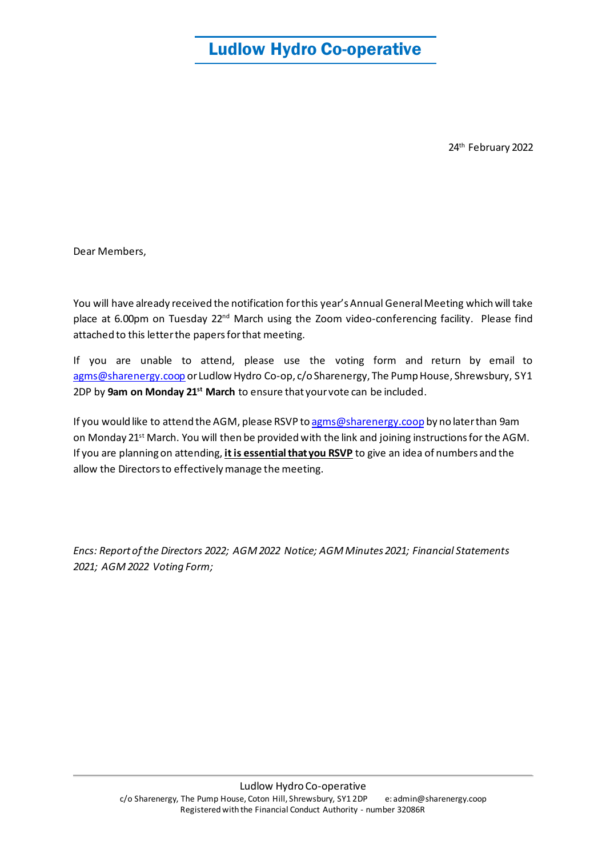# Ludlow Hydro Co-operative

24th February 2022

Dear Members,

You will have already received the notification for this year's Annual General Meeting which will take place at 6.00pm on Tuesday 22<sup>nd</sup> March using the Zoom video-conferencing facility. Please find attached to this letter the papers for that meeting.

If you are unable to attend, please use the voting form and return by email to [agms@sharenergy.coop](mailto:agms@sharenergy.coop) or Ludlow Hydro Co-op, c/o Sharenergy, The Pump House, Shrewsbury, SY1 2DP by **9am on Monday 21st March** to ensure that your vote can be included.

If you would like to attend the AGM, please RSVP t[o agms@sharenergy.coop](mailto:agms@sharenergy.coop) by no later than 9am on Monday 21<sup>st</sup> March. You will then be provided with the link and joining instructions for the AGM. If you are planning on attending, **it is essential that you RSVP** to give an idea of numbers and the allow the Directors to effectively manage the meeting.

*Encs: Report of the Directors 2022; AGM 2022 Notice; AGM Minutes 2021; Financial Statements 2021; AGM 2022 Voting Form;*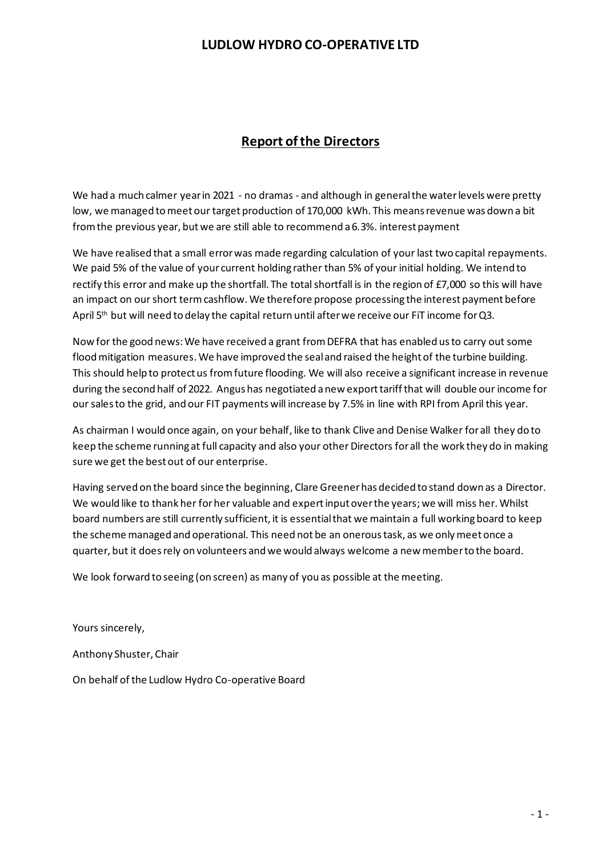# **Report of the Directors**

We had a much calmer year in 2021 - no dramas - and although in general the water levels were pretty low, we managed to meet our target production of 170,000 kWh. This means revenue was down a bit from the previous year, but we are still able to recommend a 6.3%. interest payment

We have realised that a small error was made regarding calculation of your last two capital repayments. We paid 5% of the value of your current holding rather than 5% of your initial holding. We intend to rectify this error and make up the shortfall. The total shortfall is in the region of £7,000 so this will have an impact on our short term cashflow. We therefore propose processing the interest payment before April 5<sup>th</sup> but will need to delay the capital return until after we receive our FiT income for Q3.

Now for the good news: We have received a grant from DEFRA that has enabled us to carry out some flood mitigation measures. We have improved the seal and raised the height of the turbine building. This should help to protect us from future flooding. We will also receive a significant increase in revenue during the second half of 2022. Angus has negotiated a new export tariff that will double our income for our sales to the grid, and our FIT payments will increase by 7.5% in line with RPI from April this year.

As chairman I would once again, on your behalf, like to thank Clive and Denise Walker for all they do to keep the scheme running at full capacity and also your other Directors for all the work they do in making sure we get the best out of our enterprise.

Having served on the board since the beginning, Clare Greener has decided to stand down as a Director. We would like to thank her for her valuable and expert input over the years; we will miss her. Whilst board numbers are still currently sufficient, it is essential that we maintain a full working board to keep the scheme managed and operational. This need not be an onerous task, as we only meet once a quarter, but it does rely on volunteers and we would always welcome a new member to the board.

We look forward to seeing (on screen) as many of you as possible at the meeting.

Yours sincerely,

Anthony Shuster, Chair

On behalf of the Ludlow Hydro Co-operative Board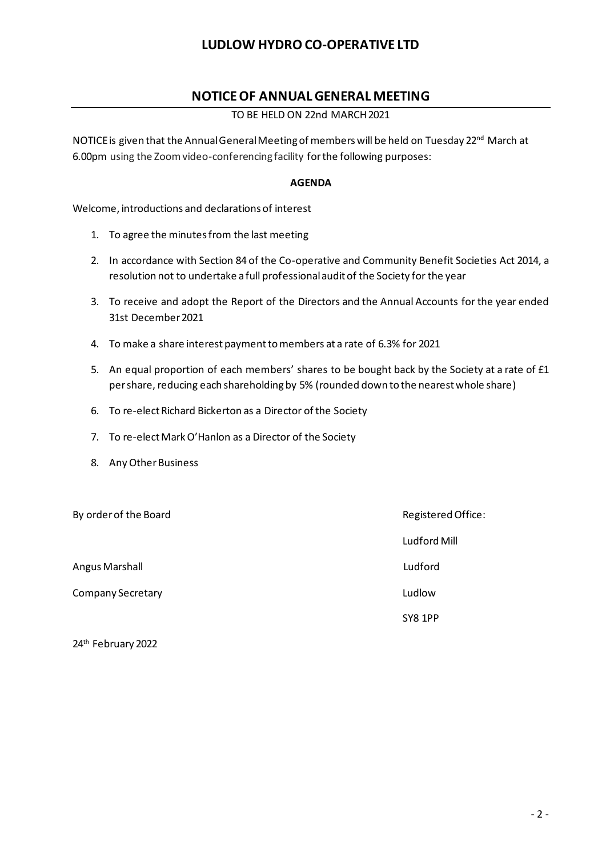## **NOTICE OF ANNUAL GENERAL MEETING**

### TO BE HELD ON 22nd MARCH 2021

NOTICE is given that the Annual General Meeting of members will be held on Tuesday 22<sup>nd</sup> March at 6.00pm using the Zoom video-conferencing facility for the following purposes:

### **AGENDA**

Welcome, introductions and declarations of interest

- 1. To agree the minutes from the last meeting
- 2. In accordance with Section 84 of the Co-operative and Community Benefit Societies Act 2014, a resolution not to undertake a full professional audit of the Society for the year
- 3. To receive and adopt the Report of the Directors and the Annual Accounts for the year ended 31st December 2021
- 4. To make a share interest payment to members at a rate of 6.3% for 2021
- 5. An equal proportion of each members' shares to be bought back by the Society at a rate of £1 per share, reducing each shareholding by 5% (rounded down to the nearest whole share)
- 6. To re-elect Richard Bickerton as a Director of the Society
- 7. To re-elect Mark O'Hanlon as a Director of the Society
- 8. Any Other Business

By order of the Board Registered Office: Ludford Mill Angus Marshall Ludford Company Secretary **Ludlow** Ludlow SY8 1PP

24<sup>th</sup> February 2022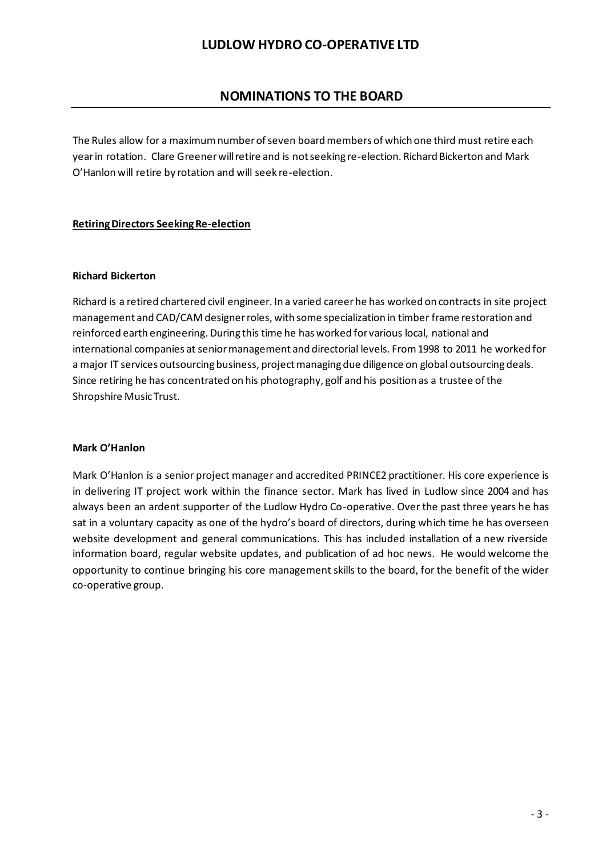# **NOMINATIONS TO THE BOARD**

The Rules allow for a maximum number of seven board members of which one third must retire each year in rotation. Clare Greener will retire and is not seeking re-election. Richard Bickerton and Mark O'Hanlon will retire by rotation and will seek re-election.

### **Retiring Directors Seeking Re-election**

#### **Richard Bickerton**

Richard is a retired chartered civil engineer. In a varied careerhe has worked on contracts in site project management and CAD/CAM designerroles, with some specialization in timber frame restoration and reinforced earth engineering. During this time he has worked for various local, national and international companies at senior management and directorial levels. From 1998 to 2011 he worked for a major IT services outsourcing business, project managing due diligence on global outsourcing deals. Since retiring he has concentrated on his photography, golf and his position as a trustee ofthe Shropshire MusicTrust.

#### **Mark O'Hanlon**

Mark O'Hanlon is a senior project manager and accredited PRINCE2 practitioner. His core experience is in delivering IT project work within the finance sector. Mark has lived in Ludlow since 2004 and has always been an ardent supporter of the Ludlow Hydro Co-operative. Over the past three years he has sat in a voluntary capacity as one of the hydro's board of directors, during which time he has overseen website development and general communications. This has included installation of a new riverside information board, regular website updates, and publication of ad hoc news. He would welcome the opportunity to continue bringing his core management skills to the board, for the benefit of the wider co-operative group.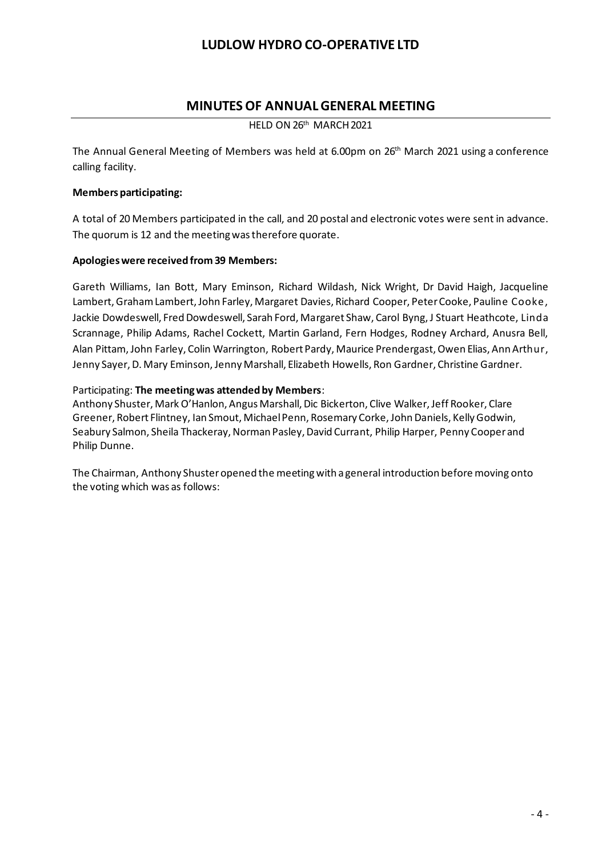### **MINUTES OF ANNUAL GENERAL MEETING**

HELD ON 26<sup>th</sup> MARCH 2021

The Annual General Meeting of Members was held at 6.00pm on 26 th March 2021 using a conference calling facility.

### **Members participating:**

A total of 20 Members participated in the call, and 20 postal and electronic votes were sent in advance. The quorum is 12 and the meeting was therefore quorate.

### **Apologies were received from 39 Members:**

Gareth Williams, Ian Bott, Mary Eminson, Richard Wildash, Nick Wright, Dr David Haigh, Jacqueline Lambert, Graham Lambert, John Farley, Margaret Davies, Richard Cooper, Peter Cooke, Pauline Cooke, Jackie Dowdeswell, Fred Dowdeswell, Sarah Ford, Margaret Shaw, Carol Byng, J Stuart Heathcote, Linda Scrannage, Philip Adams, Rachel Cockett, Martin Garland, Fern Hodges, Rodney Archard, Anusra Bell, Alan Pittam, John Farley, Colin Warrington, Robert Pardy, Maurice Prendergast, Owen Elias, Ann Arthur, Jenny Sayer, D. Mary Eminson, Jenny Marshall, Elizabeth Howells, Ron Gardner, Christine Gardner.

#### Participating: **The meeting was attended by Members**:

Anthony Shuster, Mark O'Hanlon, Angus Marshall, Dic Bickerton, Clive Walker, Jeff Rooker, Clare Greener, Robert Flintney, Ian Smout, Michael Penn, Rosemary Corke, John Daniels, Kelly Godwin, Seabury Salmon, Sheila Thackeray, Norman Pasley, David Currant, Philip Harper, Penny Cooper and Philip Dunne.

The Chairman, Anthony Shuster opened the meeting with a general introduction before moving onto the voting which was as follows: